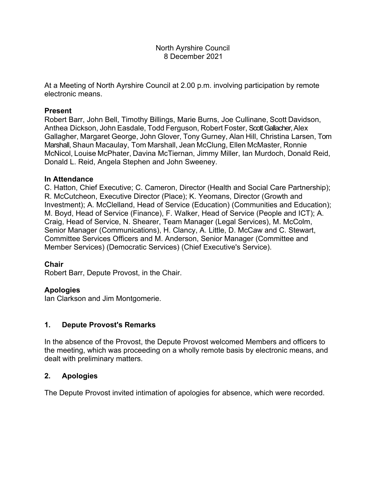### North Ayrshire Council 8 December 2021

At a Meeting of North Ayrshire Council at 2.00 p.m. involving participation by remote electronic means.

### **Present**

Robert Barr, John Bell, Timothy Billings, Marie Burns, Joe Cullinane, Scott Davidson, Anthea Dickson, John Easdale, Todd Ferguson, Robert Foster, Scott Gallacher, Alex Gallagher, Margaret George, John Glover, Tony Gurney, Alan Hill, Christina Larsen, Tom Marshall, Shaun Macaulay, Tom Marshall, Jean McClung, Ellen McMaster, Ronnie McNicol, Louise McPhater, Davina McTiernan, Jimmy Miller, Ian Murdoch, Donald Reid, Donald L. Reid, Angela Stephen and John Sweeney.

### **In Attendance**

C. Hatton, Chief Executive; C. Cameron, Director (Health and Social Care Partnership); R. McCutcheon, Executive Director (Place); K. Yeomans, Director (Growth and Investment); A. McClelland, Head of Service (Education) (Communities and Education); M. Boyd, Head of Service (Finance), F. Walker, Head of Service (People and ICT); A. Craig, Head of Service, N. Shearer, Team Manager (Legal Services), M. McColm, Senior Manager (Communications), H. Clancy, A. Little, D. McCaw and C. Stewart, Committee Services Officers and M. Anderson, Senior Manager (Committee and Member Services) (Democratic Services) (Chief Executive's Service).

### **Chair**

Robert Barr, Depute Provost, in the Chair.

## **Apologies**

Ian Clarkson and Jim Montgomerie.

### **1. Depute Provost's Remarks**

In the absence of the Provost, the Depute Provost welcomed Members and officers to the meeting, which was proceeding on a wholly remote basis by electronic means, and dealt with preliminary matters.

### **2. Apologies**

The Depute Provost invited intimation of apologies for absence, which were recorded.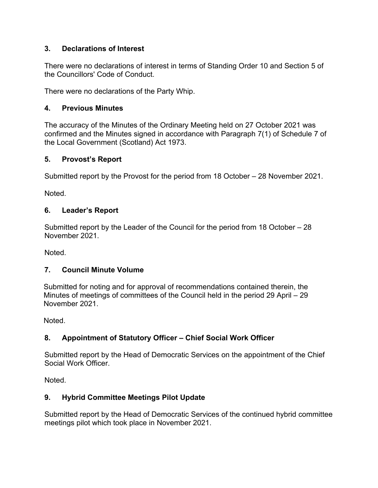# **3. Declarations of Interest**

There were no declarations of interest in terms of Standing Order 10 and Section 5 of the Councillors' Code of Conduct.

There were no declarations of the Party Whip.

# **4. Previous Minutes**

The accuracy of the Minutes of the Ordinary Meeting held on 27 October 2021 was confirmed and the Minutes signed in accordance with Paragraph 7(1) of Schedule 7 of the Local Government (Scotland) Act 1973.

# **5. Provost's Report**

Submitted report by the Provost for the period from 18 October – 28 November 2021.

Noted.

# **6. Leader's Report**

Submitted report by the Leader of the Council for the period from 18 October – 28 November 2021.

Noted.

# **7. Council Minute Volume**

Submitted for noting and for approval of recommendations contained therein, the Minutes of meetings of committees of the Council held in the period 29 April – 29 November 2021.

Noted.

# **8. Appointment of Statutory Officer – Chief Social Work Officer**

Submitted report by the Head of Democratic Services on the appointment of the Chief Social Work Officer.

Noted.

# **9. Hybrid Committee Meetings Pilot Update**

Submitted report by the Head of Democratic Services of the continued hybrid committee meetings pilot which took place in November 2021.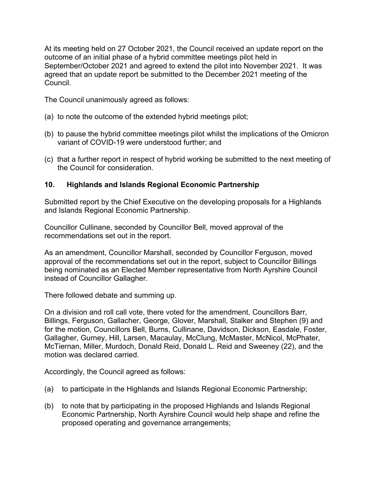At its meeting held on 27 October 2021, the Council received an update report on the outcome of an initial phase of a hybrid committee meetings pilot held in September/October 2021 and agreed to extend the pilot into November 2021. It was agreed that an update report be submitted to the December 2021 meeting of the Council.

The Council unanimously agreed as follows:

- (a) to note the outcome of the extended hybrid meetings pilot;
- (b) to pause the hybrid committee meetings pilot whilst the implications of the Omicron variant of COVID-19 were understood further; and
- (c) that a further report in respect of hybrid working be submitted to the next meeting of the Council for consideration.

## **10. Highlands and Islands Regional Economic Partnership**

Submitted report by the Chief Executive on the developing proposals for a Highlands and Islands Regional Economic Partnership.

Councillor Cullinane, seconded by Councillor Bell, moved approval of the recommendations set out in the report.

As an amendment, Councillor Marshall, seconded by Councillor Ferguson, moved approval of the recommendations set out in the report, subject to Councillor Billings being nominated as an Elected Member representative from North Ayrshire Council instead of Councillor Gallagher.

There followed debate and summing up.

On a division and roll call vote, there voted for the amendment, Councillors Barr, Billings, Ferguson, Gallacher, George, Glover, Marshall, Stalker and Stephen (9) and for the motion, Councillors Bell, Burns, Cullinane, Davidson, Dickson, Easdale, Foster, Gallagher, Gurney, Hill, Larsen, Macaulay, McClung, McMaster, McNicol, McPhater, McTiernan, Miller, Murdoch, Donald Reid, Donald L. Reid and Sweeney (22), and the motion was declared carried.

Accordingly, the Council agreed as follows:

- (a) to participate in the Highlands and Islands Regional Economic Partnership;
- (b) to note that by participating in the proposed Highlands and Islands Regional Economic Partnership, North Ayrshire Council would help shape and refine the proposed operating and governance arrangements;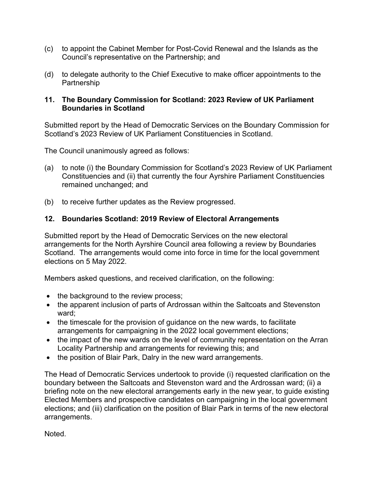- (c) to appoint the Cabinet Member for Post-Covid Renewal and the Islands as the Council's representative on the Partnership; and
- (d) to delegate authority to the Chief Executive to make officer appointments to the Partnership

### **11. The Boundary Commission for Scotland: 2023 Review of UK Parliament Boundaries in Scotland**

Submitted report by the Head of Democratic Services on the Boundary Commission for Scotland's 2023 Review of UK Parliament Constituencies in Scotland.

The Council unanimously agreed as follows:

- (a) to note (i) the Boundary Commission for Scotland's 2023 Review of UK Parliament Constituencies and (ii) that currently the four Ayrshire Parliament Constituencies remained unchanged; and
- (b) to receive further updates as the Review progressed.

## **12. Boundaries Scotland: 2019 Review of Electoral Arrangements**

Submitted report by the Head of Democratic Services on the new electoral arrangements for the North Ayrshire Council area following a review by Boundaries Scotland. The arrangements would come into force in time for the local government elections on 5 May 2022.

Members asked questions, and received clarification, on the following:

- the background to the review process;
- the apparent inclusion of parts of Ardrossan within the Saltcoats and Stevenston ward;
- the timescale for the provision of guidance on the new wards, to facilitate arrangements for campaigning in the 2022 local government elections;
- the impact of the new wards on the level of community representation on the Arran Locality Partnership and arrangements for reviewing this; and
- the position of Blair Park, Dalry in the new ward arrangements.

The Head of Democratic Services undertook to provide (i) requested clarification on the boundary between the Saltcoats and Stevenston ward and the Ardrossan ward; (ii) a briefing note on the new electoral arrangements early in the new year, to guide existing Elected Members and prospective candidates on campaigning in the local government elections; and (iii) clarification on the position of Blair Park in terms of the new electoral arrangements.

Noted.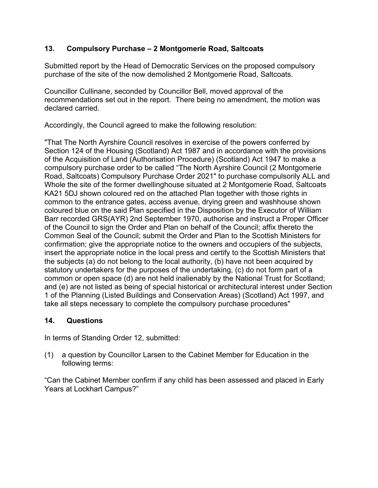# **13. Compulsory Purchase – 2 Montgomerie Road, Saltcoats**

Submitted report by the Head of Democratic Services on the proposed compulsory purchase of the site of the now demolished 2 Montgomerie Road, Saltcoats.

Councillor Cullinane, seconded by Councillor Bell, moved approval of the recommendations set out in the report. There being no amendment, the motion was declared carried.

Accordingly, the Council agreed to make the following resolution:

"That The North Ayrshire Council resolves in exercise of the powers conferred by Section 124 of the Housing (Scotland) Act 1987 and in accordance with the provisions of the Acquisition of Land (Authorisation Procedure) (Scotland) Act 1947 to make a compulsory purchase order to be called "The North Ayrshire Council (2 Montgomerie Road, Saltcoats) Compulsory Purchase Order 2021" to purchase compulsorily ALL and Whole the site of the former dwellinghouse situated at 2 Montgomerie Road, Saltcoats KA21 5DJ shown coloured red on the attached Plan together with those rights in common to the entrance gates, access avenue, drying green and washhouse shown coloured blue on the said Plan specified in the Disposition by the Executor of William Barr recorded GRS(AYR) 2nd September 1970, authorise and instruct a Proper Officer of the Council to sign the Order and Plan on behalf of the Council; affix thereto the Common Seal of the Council; submit the Order and Plan to the Scottish Ministers for confirmation; give the appropriate notice to the owners and occupiers of the subjects, insert the appropriate notice in the local press and certify to the Scottish Ministers that the subjects (a) do not belong to the local authority, (b) have not been acquired by statutory undertakers for the purposes of the undertaking, (c) do not form part of a common or open space (d) are not held inalienably by the National Trust for Scotland; and (e) are not listed as being of special historical or architectural interest under Section 1 of the Planning (Listed Buildings and Conservation Areas) (Scotland) Act 1997, and take all steps necessary to complete the compulsory purchase procedures"

## **14. Questions**

In terms of Standing Order 12, submitted:

(1) a question by Councillor Larsen to the Cabinet Member for Education in the following terms:

"Can the Cabinet Member confirm if any child has been assessed and placed in Early Years at Lockhart Campus?"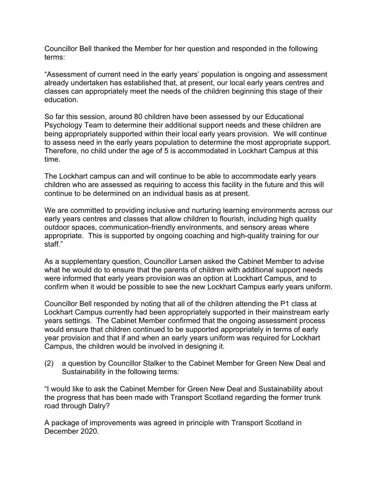Councillor Bell thanked the Member for her question and responded in the following terms:

"Assessment of current need in the early years' population is ongoing and assessment already undertaken has established that, at present, our local early years centres and classes can appropriately meet the needs of the children beginning this stage of their education.

So far this session, around 80 children have been assessed by our Educational Psychology Team to determine their additional support needs and these children are being appropriately supported within their local early years provision. We will continue to assess need in the early years population to determine the most appropriate support. Therefore, no child under the age of 5 is accommodated in Lockhart Campus at this time.

The Lockhart campus can and will continue to be able to accommodate early years children who are assessed as requiring to access this facility in the future and this will continue to be determined on an individual basis as at present.

We are committed to providing inclusive and nurturing learning environments across our early years centres and classes that allow children to flourish, including high quality outdoor spaces, communication-friendly environments, and sensory areas where appropriate. This is supported by ongoing coaching and high-quality training for our staff."

As a supplementary question, Councillor Larsen asked the Cabinet Member to advise what he would do to ensure that the parents of children with additional support needs were informed that early years provision was an option at Lockhart Campus, and to confirm when it would be possible to see the new Lockhart Campus early years uniform.

Councillor Bell responded by noting that all of the children attending the P1 class at Lockhart Campus currently had been appropriately supported in their mainstream early years settings. The Cabinet Member confirmed that the ongoing assessment process would ensure that children continued to be supported appropriately in terms of early year provision and that if and when an early years uniform was required for Lockhart Campus, the children would be involved in designing it.

(2) a question by Councillor Stalker to the Cabinet Member for Green New Deal and Sustainability in the following terms:

"I would like to ask the Cabinet Member for Green New Deal and Sustainability about the progress that has been made with Transport Scotland regarding the former trunk road through Dalry?

A package of improvements was agreed in principle with Transport Scotland in December 2020.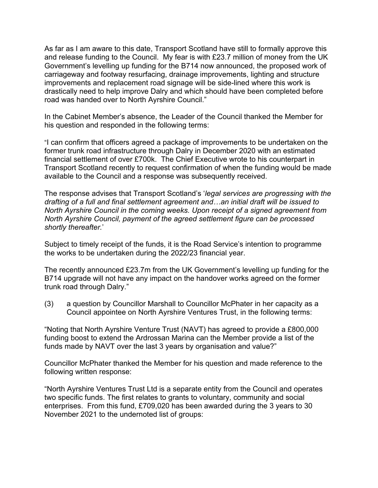As far as I am aware to this date, Transport Scotland have still to formally approve this and release funding to the Council. My fear is with £23.7 million of money from the UK Government's levelling up funding for the B714 now announced, the proposed work of carriageway and footway resurfacing, drainage improvements, lighting and structure improvements and replacement road signage will be side-lined where this work is drastically need to help improve Dalry and which should have been completed before road was handed over to North Ayrshire Council."

In the Cabinet Member's absence, the Leader of the Council thanked the Member for his question and responded in the following terms:

"I can confirm that officers agreed a package of improvements to be undertaken on the former trunk road infrastructure through Dalry in December 2020 with an estimated financial settlement of over £700k. The Chief Executive wrote to his counterpart in Transport Scotland recently to request confirmation of when the funding would be made available to the Council and a response was subsequently received.

The response advises that Transport Scotland's '*legal services are progressing with the drafting of a full and final settlement agreement and…an initial draft will be issued to North Ayrshire Council in the coming weeks. Upon receipt of a signed agreement from North Ayrshire Council, payment of the agreed settlement figure can be processed shortly thereafter.*'

Subject to timely receipt of the funds, it is the Road Service's intention to programme the works to be undertaken during the 2022/23 financial year.

The recently announced £23.7m from the UK Government's levelling up funding for the B714 upgrade will not have any impact on the handover works agreed on the former trunk road through Dalry."

(3) a question by Councillor Marshall to Councillor McPhater in her capacity as a Council appointee on North Ayrshire Ventures Trust, in the following terms:

"Noting that North Ayrshire Venture Trust (NAVT) has agreed to provide a £800,000 funding boost to extend the Ardrossan Marina can the Member provide a list of the funds made by NAVT over the last 3 years by organisation and value?"

Councillor McPhater thanked the Member for his question and made reference to the following written response:

"North Ayrshire Ventures Trust Ltd is a separate entity from the Council and operates two specific funds. The first relates to grants to voluntary, community and social enterprises. From this fund, £709,020 has been awarded during the 3 years to 30 November 2021 to the undernoted list of groups: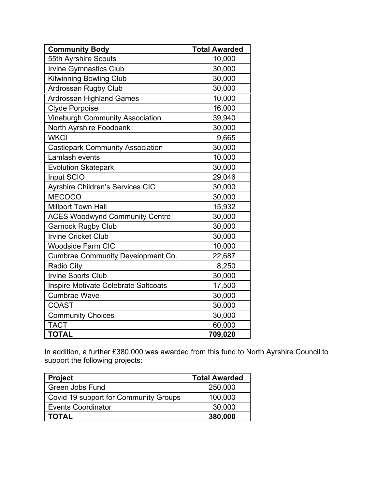| <b>Community Body</b>                    | <b>Total Awarded</b> |  |
|------------------------------------------|----------------------|--|
| 55th Ayrshire Scouts                     | 10,000               |  |
| <b>Irvine Gymnastics Club</b>            | 30,000               |  |
| Kilwinning Bowling Club                  | 30,000               |  |
| Ardrossan Rugby Club                     | 30,000               |  |
| <b>Ardrossan Highland Games</b>          | 10,000               |  |
| <b>Clyde Porpoise</b>                    | 16,000               |  |
| <b>Vineburgh Community Association</b>   | 39,940               |  |
| North Ayrshire Foodbank                  | 30,000               |  |
| <b>WKCI</b>                              | 9,665                |  |
| <b>Castlepark Community Association</b>  | 30,000               |  |
| Lamlash events                           | 10,000               |  |
| <b>Evolution Skatepark</b>               | 30,000               |  |
| Input SCIO                               | 29,046               |  |
| <b>Ayrshire Children's Services CIC</b>  | 30,000               |  |
| <b>MECOCO</b>                            | 30,000               |  |
| <b>Millport Town Hall</b>                | 15,932               |  |
| <b>ACES Woodwynd Community Centre</b>    | 30,000               |  |
| <b>Garnock Rugby Club</b>                | 30,000               |  |
| <b>Irvine Cricket Club</b>               | 30,000               |  |
| <b>Woodside Farm CIC</b>                 | 10,000               |  |
| <b>Cumbrae Community Development Co.</b> | 22,687               |  |
| <b>Radio City</b>                        | 8,250                |  |
| <b>Irvine Sports Club</b>                | 30,000               |  |
| Inspire Motivate Celebrate Saltcoats     | 17,500               |  |
| <b>Cumbrae Wave</b>                      | 30,000               |  |
| <b>COAST</b>                             | 30,000               |  |
| <b>Community Choices</b>                 | 30,000               |  |
| <b>TACT</b>                              | 60,000               |  |
| <b>TOTAL</b>                             | 709,020              |  |

In addition, a further £380,000 was awarded from this fund to North Ayrshire Council to support the following projects:

| <b>Project</b>                        | <b>Total Awarded</b> |
|---------------------------------------|----------------------|
| Green Jobs Fund                       | 250,000              |
| Covid 19 support for Community Groups | 100,000              |
| <b>Events Coordinator</b>             | 30,000               |
| <b>TOTAL</b>                          | 380,000              |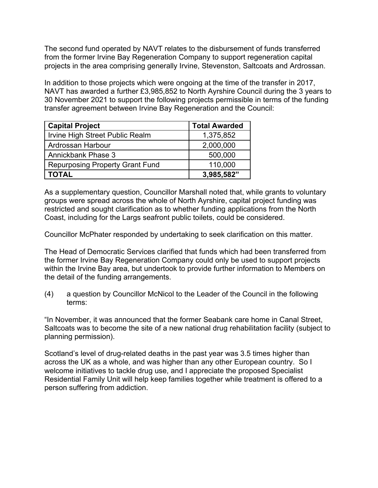The second fund operated by NAVT relates to the disbursement of funds transferred from the former Irvine Bay Regeneration Company to support regeneration capital projects in the area comprising generally Irvine, Stevenston, Saltcoats and Ardrossan.

In addition to those projects which were ongoing at the time of the transfer in 2017, NAVT has awarded a further £3,985,852 to North Ayrshire Council during the 3 years to 30 November 2021 to support the following projects permissible in terms of the funding transfer agreement between Irvine Bay Regeneration and the Council:

| <b>Capital Project</b>                 | <b>Total Awarded</b> |  |
|----------------------------------------|----------------------|--|
| Irvine High Street Public Realm        | 1,375,852            |  |
| Ardrossan Harbour                      | 2,000,000            |  |
| <b>Annickbank Phase 3</b>              | 500,000              |  |
| <b>Repurposing Property Grant Fund</b> | 110,000              |  |
| <b>TOTAL</b>                           | 3,985,582"           |  |

As a supplementary question, Councillor Marshall noted that, while grants to voluntary groups were spread across the whole of North Ayrshire, capital project funding was restricted and sought clarification as to whether funding applications from the North Coast, including for the Largs seafront public toilets, could be considered.

Councillor McPhater responded by undertaking to seek clarification on this matter.

The Head of Democratic Services clarified that funds which had been transferred from the former Irvine Bay Regeneration Company could only be used to support projects within the Irvine Bay area, but undertook to provide further information to Members on the detail of the funding arrangements.

(4) a question by Councillor McNicol to the Leader of the Council in the following terms:

"In November, it was announced that the former Seabank care home in Canal Street, Saltcoats was to become the site of a new national drug rehabilitation facility (subject to planning permission).

Scotland's level of drug-related deaths in the past year was 3.5 times higher than across the UK as a whole, and was higher than any other European country. So I welcome initiatives to tackle drug use, and I appreciate the proposed Specialist Residential Family Unit will help keep families together while treatment is offered to a person suffering from addiction.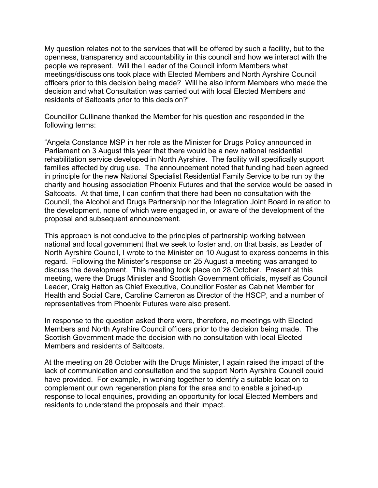My question relates not to the services that will be offered by such a facility, but to the openness, transparency and accountability in this council and how we interact with the people we represent. Will the Leader of the Council inform Members what meetings/discussions took place with Elected Members and North Ayrshire Council officers prior to this decision being made? Will he also inform Members who made the decision and what Consultation was carried out with local Elected Members and residents of Saltcoats prior to this decision?"

Councillor Cullinane thanked the Member for his question and responded in the following terms:

"Angela Constance MSP in her role as the Minister for Drugs Policy announced in Parliament on 3 August this year that there would be a new national residential rehabilitation service developed in North Ayrshire. The facility will specifically support families affected by drug use. The announcement noted that funding had been agreed in principle for the new National Specialist Residential Family Service to be run by the charity and housing association Phoenix Futures and that the service would be based in Saltcoats. At that time, I can confirm that there had been no consultation with the Council, the Alcohol and Drugs Partnership nor the Integration Joint Board in relation to the development, none of which were engaged in, or aware of the development of the proposal and subsequent announcement.

This approach is not conducive to the principles of partnership working between national and local government that we seek to foster and, on that basis, as Leader of North Ayrshire Council, I wrote to the Minister on 10 August to express concerns in this regard. Following the Minister's response on 25 August a meeting was arranged to discuss the development. This meeting took place on 28 October. Present at this meeting, were the Drugs Minister and Scottish Government officials, myself as Council Leader, Craig Hatton as Chief Executive, Councillor Foster as Cabinet Member for Health and Social Care, Caroline Cameron as Director of the HSCP, and a number of representatives from Phoenix Futures were also present.

In response to the question asked there were, therefore, no meetings with Elected Members and North Ayrshire Council officers prior to the decision being made. The Scottish Government made the decision with no consultation with local Elected Members and residents of Saltcoats.

At the meeting on 28 October with the Drugs Minister, I again raised the impact of the lack of communication and consultation and the support North Ayrshire Council could have provided. For example, in working together to identify a suitable location to complement our own regeneration plans for the area and to enable a joined-up response to local enquiries, providing an opportunity for local Elected Members and residents to understand the proposals and their impact.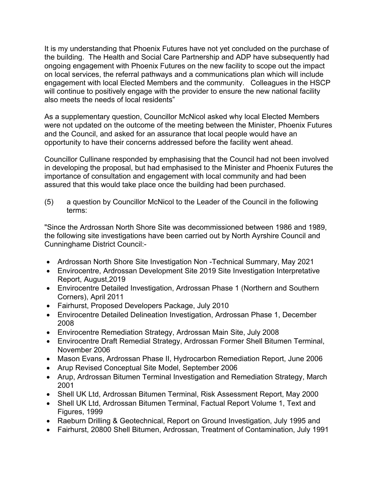It is my understanding that Phoenix Futures have not yet concluded on the purchase of the building. The Health and Social Care Partnership and ADP have subsequently had ongoing engagement with Phoenix Futures on the new facility to scope out the impact on local services, the referral pathways and a communications plan which will include engagement with local Elected Members and the community. Colleagues in the HSCP will continue to positively engage with the provider to ensure the new national facility also meets the needs of local residents"

As a supplementary question, Councillor McNicol asked why local Elected Members were not updated on the outcome of the meeting between the Minister, Phoenix Futures and the Council, and asked for an assurance that local people would have an opportunity to have their concerns addressed before the facility went ahead.

Councillor Cullinane responded by emphasising that the Council had not been involved in developing the proposal, but had emphasised to the Minister and Phoenix Futures the importance of consultation and engagement with local community and had been assured that this would take place once the building had been purchased.

(5) a question by Councillor McNicol to the Leader of the Council in the following terms:

"Since the Ardrossan North Shore Site was decommissioned between 1986 and 1989, the following site investigations have been carried out by North Ayrshire Council and Cunninghame District Council:-

- Ardrossan North Shore Site Investigation Non -Technical Summary, May 2021
- Envirocentre, Ardrossan Development Site 2019 Site Investigation Interpretative Report, August,2019
- Envirocentre Detailed Investigation, Ardrossan Phase 1 (Northern and Southern Corners), April 2011
- Fairhurst, Proposed Developers Package, July 2010
- Envirocentre Detailed Delineation Investigation, Ardrossan Phase 1, December 2008
- Envirocentre Remediation Strategy, Ardrossan Main Site, July 2008
- Envirocentre Draft Remedial Strategy, Ardrossan Former Shell Bitumen Terminal, November 2006
- Mason Evans, Ardrossan Phase II, Hydrocarbon Remediation Report, June 2006
- Arup Revised Conceptual Site Model, September 2006
- Arup, Ardrossan Bitumen Terminal Investigation and Remediation Strategy, March 2001
- Shell UK Ltd, Ardrossan Bitumen Terminal, Risk Assessment Report, May 2000
- Shell UK Ltd, Ardrossan Bitumen Terminal, Factual Report Volume 1, Text and Figures, 1999
- Raeburn Drilling & Geotechnical, Report on Ground Investigation, July 1995 and
- Fairhurst, 20800 Shell Bitumen, Ardrossan, Treatment of Contamination, July 1991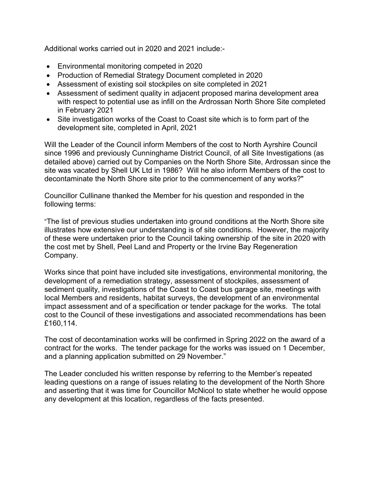Additional works carried out in 2020 and 2021 include:-

- Environmental monitoring competed in 2020
- Production of Remedial Strategy Document completed in 2020
- Assessment of existing soil stockpiles on site completed in 2021
- Assessment of sediment quality in adjacent proposed marina development area with respect to potential use as infill on the Ardrossan North Shore Site completed in February 2021
- Site investigation works of the Coast to Coast site which is to form part of the development site, completed in April, 2021

Will the Leader of the Council inform Members of the cost to North Ayrshire Council since 1996 and previously Cunninghame District Council, of all Site Investigations (as detailed above) carried out by Companies on the North Shore Site, Ardrossan since the site was vacated by Shell UK Ltd in 1986? Will he also inform Members of the cost to decontaminate the North Shore site prior to the commencement of any works?"

Councillor Cullinane thanked the Member for his question and responded in the following terms:

"The list of previous studies undertaken into ground conditions at the North Shore site illustrates how extensive our understanding is of site conditions. However, the majority of these were undertaken prior to the Council taking ownership of the site in 2020 with the cost met by Shell, Peel Land and Property or the Irvine Bay Regeneration Company.

Works since that point have included site investigations, environmental monitoring, the development of a remediation strategy, assessment of stockpiles, assessment of sediment quality, investigations of the Coast to Coast bus garage site, meetings with local Members and residents, habitat surveys, the development of an environmental impact assessment and of a specification or tender package for the works. The total cost to the Council of these investigations and associated recommendations has been £160,114.

The cost of decontamination works will be confirmed in Spring 2022 on the award of a contract for the works. The tender package for the works was issued on 1 December, and a planning application submitted on 29 November."

The Leader concluded his written response by referring to the Member's repeated leading questions on a range of issues relating to the development of the North Shore and asserting that it was time for Councillor McNicol to state whether he would oppose any development at this location, regardless of the facts presented.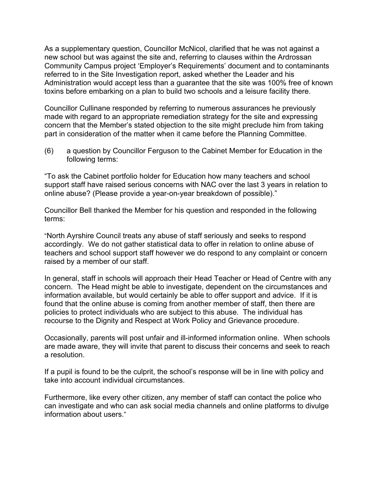As a supplementary question, Councillor McNicol, clarified that he was not against a new school but was against the site and, referring to clauses within the Ardrossan Community Campus project 'Employer's Requirements' document and to contaminants referred to in the Site Investigation report, asked whether the Leader and his Administration would accept less than a guarantee that the site was 100% free of known toxins before embarking on a plan to build two schools and a leisure facility there.

Councillor Cullinane responded by referring to numerous assurances he previously made with regard to an appropriate remediation strategy for the site and expressing concern that the Member's stated objection to the site might preclude him from taking part in consideration of the matter when it came before the Planning Committee.

(6) a question by Councillor Ferguson to the Cabinet Member for Education in the following terms:

"To ask the Cabinet portfolio holder for Education how many teachers and school support staff have raised serious concerns with NAC over the last 3 years in relation to online abuse? (Please provide a year-on-year breakdown of possible)."

Councillor Bell thanked the Member for his question and responded in the following terms:

"North Ayrshire Council treats any abuse of staff seriously and seeks to respond accordingly. We do not gather statistical data to offer in relation to online abuse of teachers and school support staff however we do respond to any complaint or concern raised by a member of our staff.

In general, staff in schools will approach their Head Teacher or Head of Centre with any concern. The Head might be able to investigate, dependent on the circumstances and information available, but would certainly be able to offer support and advice. If it is found that the online abuse is coming from another member of staff, then there are policies to protect individuals who are subject to this abuse. The individual has recourse to the Dignity and Respect at Work Policy and Grievance procedure.

Occasionally, parents will post unfair and ill-informed information online. When schools are made aware, they will invite that parent to discuss their concerns and seek to reach a resolution.

If a pupil is found to be the culprit, the school's response will be in line with policy and take into account individual circumstances.

Furthermore, like every other citizen, any member of staff can contact the police who can investigate and who can ask social media channels and online platforms to divulge information about users."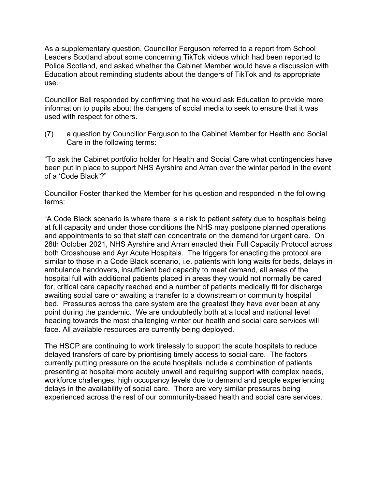As a supplementary question, Councillor Ferguson referred to a report from School Leaders Scotland about some concerning TikTok videos which had been reported to Police Scotland, and asked whether the Cabinet Member would have a discussion with Education about reminding students about the dangers of TikTok and its appropriate use.

Councillor Bell responded by confirming that he would ask Education to provide more information to pupils about the dangers of social media to seek to ensure that it was used with respect for others.

(7) a question by Councillor Ferguson to the Cabinet Member for Health and Social Care in the following terms:

"To ask the Cabinet portfolio holder for Health and Social Care what contingencies have been put in place to support NHS Ayrshire and Arran over the winter period in the event of a 'Code Black'?"

Councillor Foster thanked the Member for his question and responded in the following terms:

"A Code Black scenario is where there is a risk to patient safety due to hospitals being at full capacity and under those conditions the NHS may postpone planned operations and appointments to so that staff can concentrate on the demand for urgent care. On 28th October 2021, NHS Ayrshire and Arran enacted their Full Capacity Protocol across both Crosshouse and Ayr Acute Hospitals. The triggers for enacting the protocol are similar to those in a Code Black scenario, i.e. patients with long waits for beds, delays in ambulance handovers, insufficient bed capacity to meet demand, all areas of the hospital full with additional patients placed in areas they would not normally be cared for, critical care capacity reached and a number of patients medically fit for discharge awaiting social care or awaiting a transfer to a downstream or community hospital bed. Pressures across the care system are the greatest they have ever been at any point during the pandemic. We are undoubtedly both at a local and national level heading towards the most challenging winter our health and social care services will face. All available resources are currently being deployed.

The HSCP are continuing to work tirelessly to support the acute hospitals to reduce delayed transfers of care by prioritising timely access to social care. The factors currently putting pressure on the acute hospitals include a combination of patients presenting at hospital more acutely unwell and requiring support with complex needs, workforce challenges, high occupancy levels due to demand and people experiencing delays in the availability of social care. There are very similar pressures being experienced across the rest of our community-based health and social care services.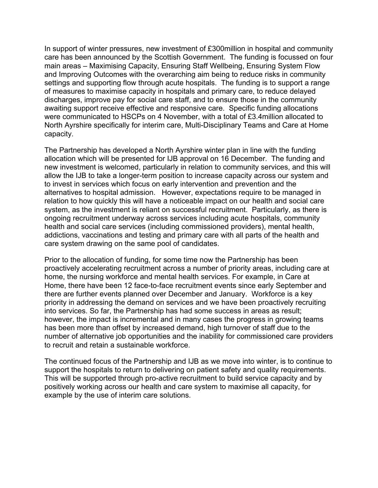In support of winter pressures, new investment of £300million in hospital and community care has been announced by the Scottish Government. The funding is focussed on four main areas – Maximising Capacity, Ensuring Staff Wellbeing, Ensuring System Flow and Improving Outcomes with the overarching aim being to reduce risks in community settings and supporting flow through acute hospitals. The funding is to support a range of measures to maximise capacity in hospitals and primary care, to reduce delayed discharges, improve pay for social care staff, and to ensure those in the community awaiting support receive effective and responsive care. Specific funding allocations were communicated to HSCPs on 4 November, with a total of £3.4million allocated to North Ayrshire specifically for interim care, Multi-Disciplinary Teams and Care at Home capacity.

The Partnership has developed a North Ayrshire winter plan in line with the funding allocation which will be presented for IJB approval on 16 December. The funding and new investment is welcomed, particularly in relation to community services, and this will allow the IJB to take a longer-term position to increase capacity across our system and to invest in services which focus on early intervention and prevention and the alternatives to hospital admission. However, expectations require to be managed in relation to how quickly this will have a noticeable impact on our health and social care system, as the investment is reliant on successful recruitment. Particularly, as there is ongoing recruitment underway across services including acute hospitals, community health and social care services (including commissioned providers), mental health, addictions, vaccinations and testing and primary care with all parts of the health and care system drawing on the same pool of candidates.

Prior to the allocation of funding, for some time now the Partnership has been proactively accelerating recruitment across a number of priority areas, including care at home, the nursing workforce and mental health services. For example, in Care at Home, there have been 12 face-to-face recruitment events since early September and there are further events planned over December and January. Workforce is a key priority in addressing the demand on services and we have been proactively recruiting into services. So far, the Partnership has had some success in areas as result; however, the impact is incremental and in many cases the progress in growing teams has been more than offset by increased demand, high turnover of staff due to the number of alternative job opportunities and the inability for commissioned care providers to recruit and retain a sustainable workforce.

The continued focus of the Partnership and IJB as we move into winter, is to continue to support the hospitals to return to delivering on patient safety and quality requirements. This will be supported through pro-active recruitment to build service capacity and by positively working across our health and care system to maximise all capacity, for example by the use of interim care solutions.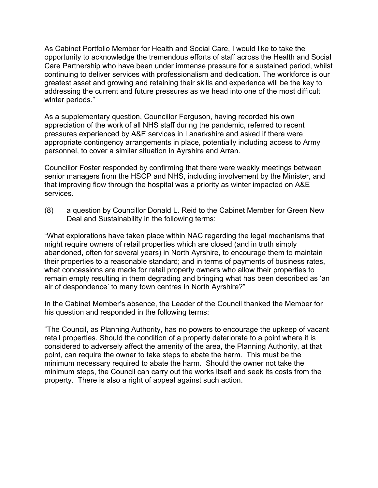As Cabinet Portfolio Member for Health and Social Care, I would like to take the opportunity to acknowledge the tremendous efforts of staff across the Health and Social Care Partnership who have been under immense pressure for a sustained period, whilst continuing to deliver services with professionalism and dedication. The workforce is our greatest asset and growing and retaining their skills and experience will be the key to addressing the current and future pressures as we head into one of the most difficult winter periods."

As a supplementary question, Councillor Ferguson, having recorded his own appreciation of the work of all NHS staff during the pandemic, referred to recent pressures experienced by A&E services in Lanarkshire and asked if there were appropriate contingency arrangements in place, potentially including access to Army personnel, to cover a similar situation in Ayrshire and Arran.

Councillor Foster responded by confirming that there were weekly meetings between senior managers from the HSCP and NHS, including involvement by the Minister, and that improving flow through the hospital was a priority as winter impacted on A&E services.

(8) a question by Councillor Donald L. Reid to the Cabinet Member for Green New Deal and Sustainability in the following terms:

"What explorations have taken place within NAC regarding the legal mechanisms that might require owners of retail properties which are closed (and in truth simply abandoned, often for several years) in North Ayrshire, to encourage them to maintain their properties to a reasonable standard; and in terms of payments of business rates, what concessions are made for retail property owners who allow their properties to remain empty resulting in them degrading and bringing what has been described as 'an air of despondence' to many town centres in North Ayrshire?"

In the Cabinet Member's absence, the Leader of the Council thanked the Member for his question and responded in the following terms:

"The Council, as Planning Authority, has no powers to encourage the upkeep of vacant retail properties. Should the condition of a property deteriorate to a point where it is considered to adversely affect the amenity of the area, the Planning Authority, at that point, can require the owner to take steps to abate the harm. This must be the minimum necessary required to abate the harm. Should the owner not take the minimum steps, the Council can carry out the works itself and seek its costs from the property. There is also a right of appeal against such action.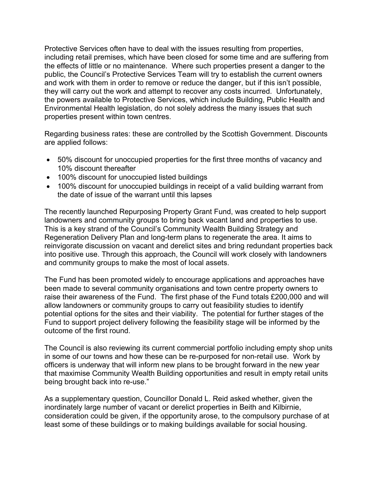Protective Services often have to deal with the issues resulting from properties, including retail premises, which have been closed for some time and are suffering from the effects of little or no maintenance. Where such properties present a danger to the public, the Council's Protective Services Team will try to establish the current owners and work with them in order to remove or reduce the danger, but if this isn't possible, they will carry out the work and attempt to recover any costs incurred. Unfortunately, the powers available to Protective Services, which include Building, Public Health and Environmental Health legislation, do not solely address the many issues that such properties present within town centres.

Regarding business rates: these are controlled by the Scottish Government. Discounts are applied follows:

- 50% discount for unoccupied properties for the first three months of vacancy and 10% discount thereafter
- 100% discount for unoccupied listed buildings
- 100% discount for unoccupied buildings in receipt of a valid building warrant from the date of issue of the warrant until this lapses

The recently launched Repurposing Property Grant Fund, was created to help support landowners and community groups to bring back vacant land and properties to use. This is a key strand of the Council's Community Wealth Building Strategy and Regeneration Delivery Plan and long-term plans to regenerate the area. It aims to reinvigorate discussion on vacant and derelict sites and bring redundant properties back into positive use. Through this approach, the Council will work closely with landowners and community groups to make the most of local assets.

The Fund has been promoted widely to encourage applications and approaches have been made to several community organisations and town centre property owners to raise their awareness of the Fund. The first phase of the Fund totals £200,000 and will allow landowners or community groups to carry out feasibility studies to identify potential options for the sites and their viability. The potential for further stages of the Fund to support project delivery following the feasibility stage will be informed by the outcome of the first round.

The Council is also reviewing its current commercial portfolio including empty shop units in some of our towns and how these can be re-purposed for non-retail use. Work by officers is underway that will inform new plans to be brought forward in the new year that maximise Community Wealth Building opportunities and result in empty retail units being brought back into re-use."

As a supplementary question, Councillor Donald L. Reid asked whether, given the inordinately large number of vacant or derelict properties in Beith and Kilbirnie, consideration could be given, if the opportunity arose, to the compulsory purchase of at least some of these buildings or to making buildings available for social housing.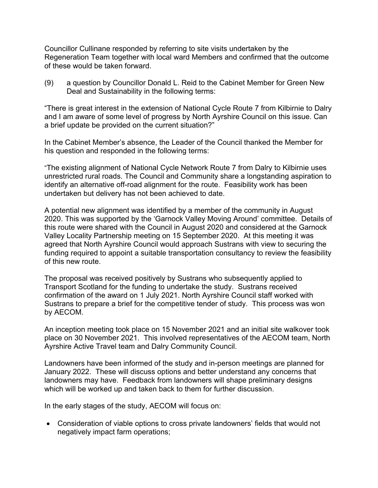Councillor Cullinane responded by referring to site visits undertaken by the Regeneration Team together with local ward Members and confirmed that the outcome of these would be taken forward.

(9) a question by Councillor Donald L. Reid to the Cabinet Member for Green New Deal and Sustainability in the following terms:

"There is great interest in the extension of National Cycle Route 7 from Kilbirnie to Dalry and I am aware of some level of progress by North Ayrshire Council on this issue. Can a brief update be provided on the current situation?"

In the Cabinet Member's absence, the Leader of the Council thanked the Member for his question and responded in the following terms:

"The existing alignment of National Cycle Network Route 7 from Dalry to Kilbirnie uses unrestricted rural roads. The Council and Community share a longstanding aspiration to identify an alternative off-road alignment for the route. Feasibility work has been undertaken but delivery has not been achieved to date.

A potential new alignment was identified by a member of the community in August 2020. This was supported by the 'Garnock Valley Moving Around' committee. Details of this route were shared with the Council in August 2020 and considered at the Garnock Valley Locality Partnership meeting on 15 September 2020. At this meeting it was agreed that North Ayrshire Council would approach Sustrans with view to securing the funding required to appoint a suitable transportation consultancy to review the feasibility of this new route.

The proposal was received positively by Sustrans who subsequently applied to Transport Scotland for the funding to undertake the study. Sustrans received confirmation of the award on 1 July 2021. North Ayrshire Council staff worked with Sustrans to prepare a brief for the competitive tender of study. This process was won by AECOM.

An inception meeting took place on 15 November 2021 and an initial site walkover took place on 30 November 2021. This involved representatives of the AECOM team, North Ayrshire Active Travel team and Dalry Community Council.

Landowners have been informed of the study and in-person meetings are planned for January 2022. These will discuss options and better understand any concerns that landowners may have. Feedback from landowners will shape preliminary designs which will be worked up and taken back to them for further discussion.

In the early stages of the study, AECOM will focus on:

• Consideration of viable options to cross private landowners' fields that would not negatively impact farm operations;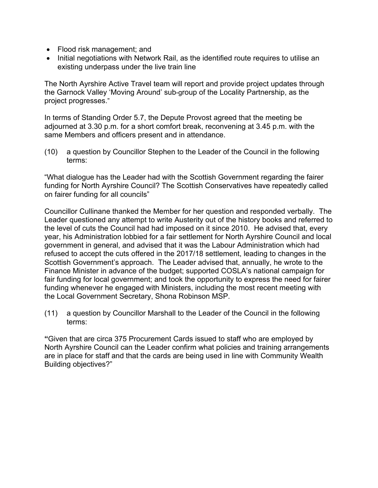- Flood risk management; and
- Initial negotiations with Network Rail, as the identified route requires to utilise an existing underpass under the live train line

The North Ayrshire Active Travel team will report and provide project updates through the Garnock Valley 'Moving Around' sub-group of the Locality Partnership, as the project progresses."

In terms of Standing Order 5.7, the Depute Provost agreed that the meeting be adjourned at 3.30 p.m. for a short comfort break, reconvening at 3.45 p.m. with the same Members and officers present and in attendance.

(10) a question by Councillor Stephen to the Leader of the Council in the following terms:

"What dialogue has the Leader had with the Scottish Government regarding the fairer funding for North Ayrshire Council? The Scottish Conservatives have repeatedly called on fairer funding for all councils"

Councillor Cullinane thanked the Member for her question and responded verbally. The Leader questioned any attempt to write Austerity out of the history books and referred to the level of cuts the Council had had imposed on it since 2010. He advised that, every year, his Administration lobbied for a fair settlement for North Ayrshire Council and local government in general, and advised that it was the Labour Administration which had refused to accept the cuts offered in the 2017/18 settlement, leading to changes in the Scottish Government's approach. The Leader advised that, annually, he wrote to the Finance Minister in advance of the budget; supported COSLA's national campaign for fair funding for local government; and took the opportunity to express the need for fairer funding whenever he engaged with Ministers, including the most recent meeting with the Local Government Secretary, Shona Robinson MSP.

(11) a question by Councillor Marshall to the Leader of the Council in the following terms:

**"**Given that are circa 375 Procurement Cards issued to staff who are employed by North Ayrshire Council can the Leader confirm what policies and training arrangements are in place for staff and that the cards are being used in line with Community Wealth Building objectives?"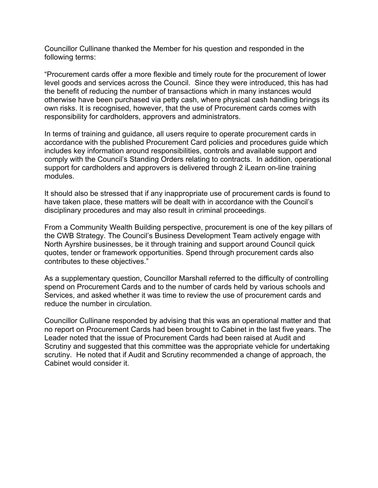Councillor Cullinane thanked the Member for his question and responded in the following terms:

"Procurement cards offer a more flexible and timely route for the procurement of lower level goods and services across the Council. Since they were introduced, this has had the benefit of reducing the number of transactions which in many instances would otherwise have been purchased via petty cash, where physical cash handling brings its own risks. It is recognised, however, that the use of Procurement cards comes with responsibility for cardholders, approvers and administrators.

In terms of training and guidance, all users require to operate procurement cards in accordance with the published Procurement Card policies and procedures guide which includes key information around responsibilities, controls and available support and comply with the Council's Standing Orders relating to contracts. In addition, operational support for cardholders and approvers is delivered through 2 iLearn on-line training modules.

It should also be stressed that if any inappropriate use of procurement cards is found to have taken place, these matters will be dealt with in accordance with the Council's disciplinary procedures and may also result in criminal proceedings.

From a Community Wealth Building perspective, procurement is one of the key pillars of the CWB Strategy. The Council's Business Development Team actively engage with North Ayrshire businesses, be it through training and support around Council quick quotes, tender or framework opportunities. Spend through procurement cards also contributes to these objectives."

As a supplementary question, Councillor Marshall referred to the difficulty of controlling spend on Procurement Cards and to the number of cards held by various schools and Services, and asked whether it was time to review the use of procurement cards and reduce the number in circulation.

Councillor Cullinane responded by advising that this was an operational matter and that no report on Procurement Cards had been brought to Cabinet in the last five years. The Leader noted that the issue of Procurement Cards had been raised at Audit and Scrutiny and suggested that this committee was the appropriate vehicle for undertaking scrutiny. He noted that if Audit and Scrutiny recommended a change of approach, the Cabinet would consider it.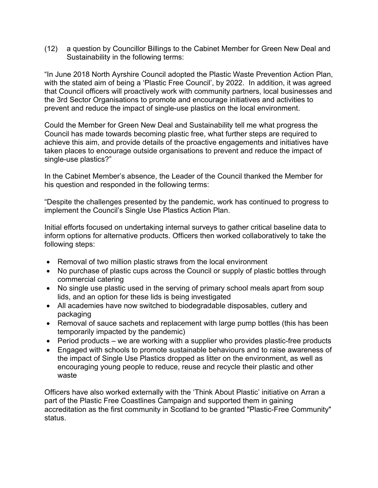(12) a question by Councillor Billings to the Cabinet Member for Green New Deal and Sustainability in the following terms:

"In June 2018 North Ayrshire Council adopted the Plastic Waste Prevention Action Plan, with the stated aim of being a 'Plastic Free Council', by 2022. In addition, it was agreed that Council officers will proactively work with community partners, local businesses and the 3rd Sector Organisations to promote and encourage initiatives and activities to prevent and reduce the impact of single-use plastics on the local environment.

Could the Member for Green New Deal and Sustainability tell me what progress the Council has made towards becoming plastic free, what further steps are required to achieve this aim, and provide details of the proactive engagements and initiatives have taken places to encourage outside organisations to prevent and reduce the impact of single-use plastics?"

In the Cabinet Member's absence, the Leader of the Council thanked the Member for his question and responded in the following terms:

"Despite the challenges presented by the pandemic, work has continued to progress to implement the Council's Single Use Plastics Action Plan.

Initial efforts focused on undertaking internal surveys to gather critical baseline data to inform options for alternative products. Officers then worked collaboratively to take the following steps:

- Removal of two million plastic straws from the local environment
- No purchase of plastic cups across the Council or supply of plastic bottles through commercial catering
- No single use plastic used in the serving of primary school meals apart from soup lids, and an option for these lids is being investigated
- All academies have now switched to biodegradable disposables, cutlery and packaging
- Removal of sauce sachets and replacement with large pump bottles (this has been temporarily impacted by the pandemic)
- Period products we are working with a supplier who provides plastic-free products
- Engaged with schools to promote sustainable behaviours and to raise awareness of the impact of Single Use Plastics dropped as litter on the environment, as well as encouraging young people to reduce, reuse and recycle their plastic and other waste

Officers have also worked externally with the 'Think About Plastic' initiative on Arran a part of the Plastic Free Coastlines Campaign and supported them in gaining accreditation as the first community in Scotland to be granted "Plastic-Free Community" status.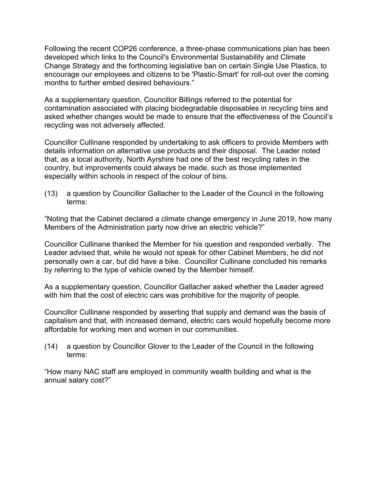Following the recent COP26 conference, a three-phase communications plan has been developed which links to the Council's Environmental Sustainability and Climate Change Strategy and the forthcoming legislative ban on certain Single Use Plastics, to encourage our employees and citizens to be 'Plastic-Smart' for roll-out over the coming months to further embed desired behaviours."

As a supplementary question, Councillor Billings referred to the potential for contamination associated with placing biodegradable disposables in recycling bins and asked whether changes would be made to ensure that the effectiveness of the Council's recycling was not adversely affected.

Councillor Cullinane responded by undertaking to ask officers to provide Members with details information on alternative use products and their disposal. The Leader noted that, as a local authority, North Ayrshire had one of the best recycling rates in the country, but improvements could always be made, such as those implemented especially within schools in respect of the colour of bins.

(13) a question by Councillor Gallacher to the Leader of the Council in the following terms:

"Noting that the Cabinet declared a climate change emergency in June 2019, how many Members of the Administration party now drive an electric vehicle?"

Councillor Cullinane thanked the Member for his question and responded verbally. The Leader advised that, while he would not speak for other Cabinet Members, he did not personally own a car, but did have a bike. Councillor Cullinane concluded his remarks by referring to the type of vehicle owned by the Member himself.

As a supplementary question, Councillor Gallacher asked whether the Leader agreed with him that the cost of electric cars was prohibitive for the majority of people.

Councillor Cullinane responded by asserting that supply and demand was the basis of capitalism and that, with increased demand, electric cars would hopefully become more affordable for working men and women in our communities.

(14) a question by Councillor Glover to the Leader of the Council in the following terms:

"How many NAC staff are employed in community wealth building and what is the annual salary cost?"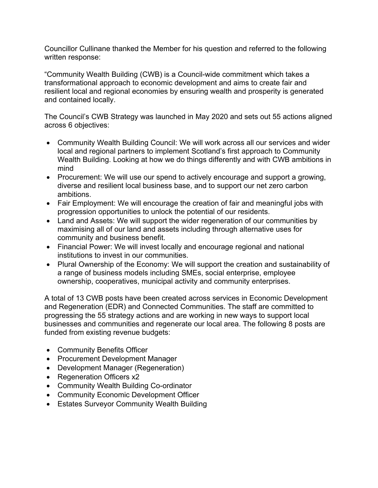Councillor Cullinane thanked the Member for his question and referred to the following written response:

"Community Wealth Building (CWB) is a Council-wide commitment which takes a transformational approach to economic development and aims to create fair and resilient local and regional economies by ensuring wealth and prosperity is generated and contained locally.

The Council's CWB Strategy was launched in May 2020 and sets out 55 actions aligned across 6 objectives:

- Community Wealth Building Council: We will work across all our services and wider local and regional partners to implement Scotland's first approach to Community Wealth Building. Looking at how we do things differently and with CWB ambitions in mind
- Procurement: We will use our spend to actively encourage and support a growing, diverse and resilient local business base, and to support our net zero carbon ambitions.
- Fair Employment: We will encourage the creation of fair and meaningful jobs with progression opportunities to unlock the potential of our residents.
- Land and Assets: We will support the wider regeneration of our communities by maximising all of our land and assets including through alternative uses for community and business benefit.
- Financial Power: We will invest locally and encourage regional and national institutions to invest in our communities.
- Plural Ownership of the Economy: We will support the creation and sustainability of a range of business models including SMEs, social enterprise, employee ownership, cooperatives, municipal activity and community enterprises.

A total of 13 CWB posts have been created across services in Economic Development and Regeneration (EDR) and Connected Communities. The staff are committed to progressing the 55 strategy actions and are working in new ways to support local businesses and communities and regenerate our local area. The following 8 posts are funded from existing revenue budgets:

- Community Benefits Officer
- Procurement Development Manager
- Development Manager (Regeneration)
- Regeneration Officers x2
- Community Wealth Building Co-ordinator
- Community Economic Development Officer
- Estates Surveyor Community Wealth Building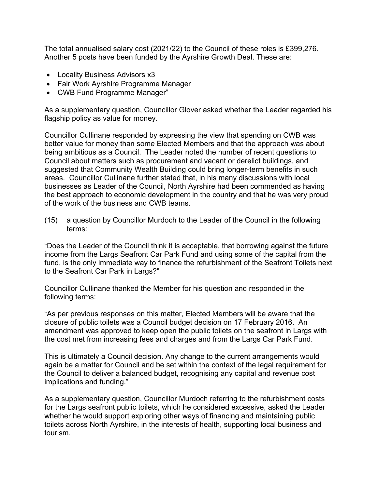The total annualised salary cost (2021/22) to the Council of these roles is £399,276. Another 5 posts have been funded by the Ayrshire Growth Deal. These are:

- Locality Business Advisors x3
- Fair Work Ayrshire Programme Manager
- CWB Fund Programme Manager"

As a supplementary question, Councillor Glover asked whether the Leader regarded his flagship policy as value for money.

Councillor Cullinane responded by expressing the view that spending on CWB was better value for money than some Elected Members and that the approach was about being ambitious as a Council. The Leader noted the number of recent questions to Council about matters such as procurement and vacant or derelict buildings, and suggested that Community Wealth Building could bring longer-term benefits in such areas. Councillor Cullinane further stated that, in his many discussions with local businesses as Leader of the Council, North Ayrshire had been commended as having the best approach to economic development in the country and that he was very proud of the work of the business and CWB teams.

(15) a question by Councillor Murdoch to the Leader of the Council in the following terms:

"Does the Leader of the Council think it is acceptable, that borrowing against the future income from the Largs Seafront Car Park Fund and using some of the capital from the fund, is the only immediate way to finance the refurbishment of the Seafront Toilets next to the Seafront Car Park in Largs?"

Councillor Cullinane thanked the Member for his question and responded in the following terms:

"As per previous responses on this matter, Elected Members will be aware that the closure of public toilets was a Council budget decision on 17 February 2016. An amendment was approved to keep open the public toilets on the seafront in Largs with the cost met from increasing fees and charges and from the Largs Car Park Fund.

This is ultimately a Council decision. Any change to the current arrangements would again be a matter for Council and be set within the context of the legal requirement for the Council to deliver a balanced budget, recognising any capital and revenue cost implications and funding."

As a supplementary question, Councillor Murdoch referring to the refurbishment costs for the Largs seafront public toilets, which he considered excessive, asked the Leader whether he would support exploring other ways of financing and maintaining public toilets across North Ayrshire, in the interests of health, supporting local business and tourism.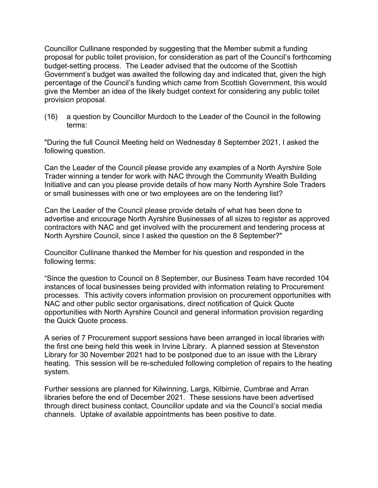Councillor Cullinane responded by suggesting that the Member submit a funding proposal for public toilet provision, for consideration as part of the Council's forthcoming budget-setting process. The Leader advised that the outcome of the Scottish Government's budget was awaited the following day and indicated that, given the high percentage of the Council's funding which came from Scottish Government, this would give the Member an idea of the likely budget context for considering any public toilet provision proposal.

(16) a question by Councillor Murdoch to the Leader of the Council in the following terms:

"During the full Council Meeting held on Wednesday 8 September 2021, I asked the following question.

Can the Leader of the Council please provide any examples of a North Ayrshire Sole Trader winning a tender for work with NAC through the Community Wealth Building Initiative and can you please provide details of how many North Ayrshire Sole Traders or small businesses with one or two employees are on the tendering list?

Can the Leader of the Council please provide details of what has been done to advertise and encourage North Ayrshire Businesses of all sizes to register as approved contractors with NAC and get involved with the procurement and tendering process at North Ayrshire Council, since I asked the question on the 8 September?"

Councillor Cullinane thanked the Member for his question and responded in the following terms:

"Since the question to Council on 8 September, our Business Team have recorded 104 instances of local businesses being provided with information relating to Procurement processes. This activity covers information provision on procurement opportunities with NAC and other public sector organisations, direct notification of Quick Quote opportunities with North Ayrshire Council and general information provision regarding the Quick Quote process.

A series of 7 Procurement support sessions have been arranged in local libraries with the first one being held this week in Irvine Library. A planned session at Stevenston Library for 30 November 2021 had to be postponed due to an issue with the Library heating. This session will be re-scheduled following completion of repairs to the heating system.

Further sessions are planned for Kilwinning, Largs, Kilbirnie, Cumbrae and Arran libraries before the end of December 2021. These sessions have been advertised through direct business contact, Councillor update and via the Council's social media channels. Uptake of available appointments has been positive to date.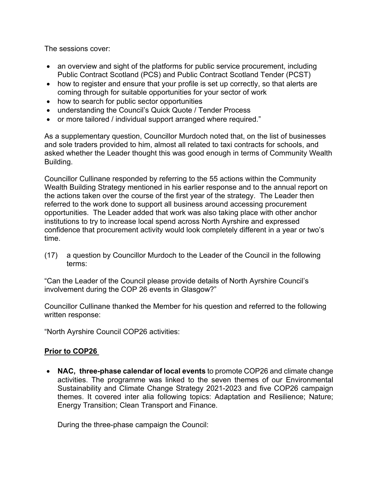The sessions cover:

- an overview and sight of the platforms for public service procurement, including Public Contract Scotland (PCS) and Public Contract Scotland Tender (PCST)
- how to register and ensure that your profile is set up correctly, so that alerts are coming through for suitable opportunities for your sector of work
- how to search for public sector opportunities
- understanding the Council's Quick Quote / Tender Process
- or more tailored / individual support arranged where required."

As a supplementary question, Councillor Murdoch noted that, on the list of businesses and sole traders provided to him, almost all related to taxi contracts for schools, and asked whether the Leader thought this was good enough in terms of Community Wealth Building.

Councillor Cullinane responded by referring to the 55 actions within the Community Wealth Building Strategy mentioned in his earlier response and to the annual report on the actions taken over the course of the first year of the strategy. The Leader then referred to the work done to support all business around accessing procurement opportunities. The Leader added that work was also taking place with other anchor institutions to try to increase local spend across North Ayrshire and expressed confidence that procurement activity would look completely different in a year or two's time.

(17) a question by Councillor Murdoch to the Leader of the Council in the following terms:

"Can the Leader of the Council please provide details of North Ayrshire Council's involvement during the COP 26 events in Glasgow?"

Councillor Cullinane thanked the Member for his question and referred to the following written response:

"North Ayrshire Council COP26 activities:

## **Prior to COP26**

• **NAC, three-phase calendar of local events** to promote COP26 and climate change activities. The programme was linked to the seven themes of our Environmental Sustainability and Climate Change Strategy 2021-2023 and five COP26 campaign themes. It covered inter alia following topics: Adaptation and Resilience; Nature; Energy Transition; Clean Transport and Finance.

During the three-phase campaign the Council: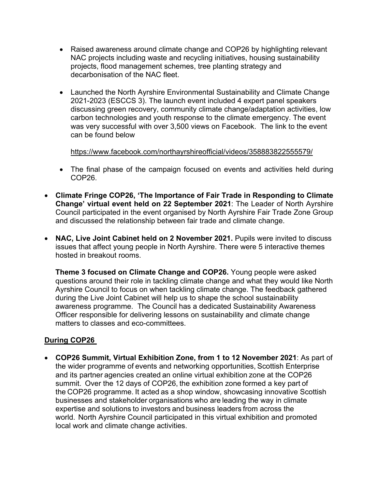- Raised awareness around climate change and COP26 by highlighting relevant NAC projects including waste and recycling initiatives, housing sustainability projects, flood management schemes, tree planting strategy and decarbonisation of the NAC fleet.
- Launched the North Ayrshire Environmental Sustainability and Climate Change 2021-2023 (ESCCS 3). The launch event included 4 expert panel speakers discussing green recovery, community climate change/adaptation activities, low carbon technologies and youth response to the climate emergency. The event was very successful with over 3,500 views on Facebook. The link to the event can be found below

<https://www.facebook.com/northayrshireofficial/videos/358883822555579/>

- The final phase of the campaign focused on events and activities held during COP26.
- **Climate Fringe COP26, 'The Importance of Fair Trade in Responding to Climate Change' virtual event held on 22 September 2021**: The Leader of North Ayrshire Council participated in the event organised by North Ayrshire Fair Trade Zone Group and discussed the relationship between fair trade and climate change.
- **NAC, Live Joint Cabinet held on 2 November 2021.** Pupils were invited to discuss issues that affect young people in North Ayrshire. There were 5 interactive themes hosted in breakout rooms.

**Theme 3 focused on Climate Change and COP26.** Young people were asked questions around their role in tackling climate change and what they would like North Ayrshire Council to focus on when tackling climate change. The feedback gathered during the Live Joint Cabinet will help us to shape the school sustainability awareness programme. The Council has a dedicated Sustainability Awareness Officer responsible for delivering lessons on sustainability and climate change matters to classes and eco-committees.

## **During COP26**

• **COP26 Summit, Virtual Exhibition Zone, from 1 to 12 November 2021**: As part of the wider programme of events and networking opportunities, Scottish Enterprise and its partner agencies created an online virtual exhibition zone at the COP26 summit.  Over the 12 days of COP26, the exhibition zone formed a key part of the COP26 programme. It acted as a shop window, showcasing innovative Scottish businesses and stakeholder organisations who are leading the way in climate expertise and solutions to investors and business leaders from across the world.  North Ayrshire Council participated in this virtual exhibition and promoted local work and climate change activities.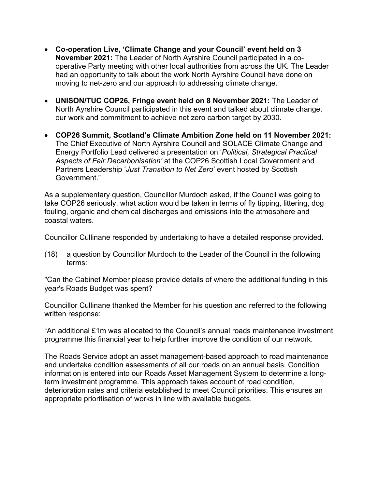- **Co-operation Live, 'Climate Change and your Council' event held on 3 November 2021:** The Leader of North Ayrshire Council participated in a cooperative Party meeting with other local authorities from across the UK. The Leader had an opportunity to talk about the work North Ayrshire Council have done on moving to net-zero and our approach to addressing climate change.
- **UNISON/TUC COP26, Fringe event held on 8 November 2021:** The Leader of North Ayrshire Council participated in this event and talked about climate change, our work and commitment to achieve net zero carbon target by 2030.
- **COP26 Summit, Scotland's Climate Ambition Zone held on 11 November 2021:**  The Chief Executive of North Ayrshire Council and SOLACE Climate Change and Energy Portfolio Lead delivered a presentation on '*Political, Strategical Practical Aspects of Fair Decarbonisation'* at the COP26 Scottish Local Government and Partners Leadership '*Just Transition to Net Zero'* event hosted by Scottish Government."

As a supplementary question, Councillor Murdoch asked, if the Council was going to take COP26 seriously, what action would be taken in terms of fly tipping, littering, dog fouling, organic and chemical discharges and emissions into the atmosphere and coastal waters.

Councillor Cullinane responded by undertaking to have a detailed response provided.

(18) a question by Councillor Murdoch to the Leader of the Council in the following terms:

"Can the Cabinet Member please provide details of where the additional funding in this year's Roads Budget was spent?

Councillor Cullinane thanked the Member for his question and referred to the following written response:

"An additional £1m was allocated to the Council's annual roads maintenance investment programme this financial year to help further improve the condition of our network.

The Roads Service adopt an asset management-based approach to road maintenance and undertake condition assessments of all our roads on an annual basis. Condition information is entered into our Roads Asset Management System to determine a longterm investment programme. This approach takes account of road condition, deterioration rates and criteria established to meet Council priorities. This ensures an appropriate prioritisation of works in line with available budgets.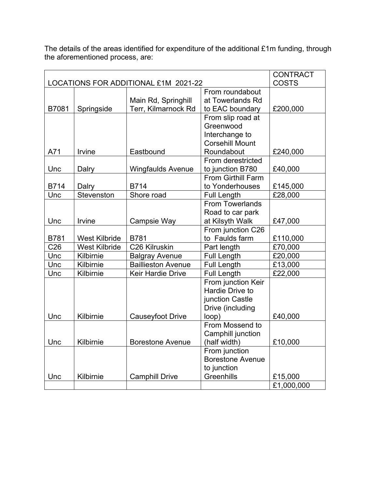The details of the areas identified for expenditure of the additional £1m funding, through the aforementioned process, are:

|                                      |                      |                           |                           | <b>CONTRACT</b> |
|--------------------------------------|----------------------|---------------------------|---------------------------|-----------------|
| LOCATIONS FOR ADDITIONAL £1M 2021-22 |                      |                           |                           | <b>COSTS</b>    |
|                                      |                      |                           | From roundabout           |                 |
|                                      |                      | Main Rd, Springhill       | at Towerlands Rd          |                 |
| B7081                                | Springside           | Terr, Kilmarnock Rd       | to EAC boundary           | £200,000        |
|                                      |                      |                           | From slip road at         |                 |
|                                      |                      |                           | Greenwood                 |                 |
|                                      |                      |                           | Interchange to            |                 |
|                                      |                      |                           | <b>Corsehill Mount</b>    |                 |
| A71                                  | Irvine               | Eastbound                 | Roundabout                | £240,000        |
|                                      |                      |                           | From derestricted         |                 |
| Unc                                  | Dalry                | <b>Wingfaulds Avenue</b>  | to junction B780          | £40,000         |
|                                      |                      |                           | <b>From Girthill Farm</b> |                 |
| B714                                 | Dalry                | <b>B714</b>               | to Yonderhouses           | £145,000        |
| Unc                                  | Stevenston           | Shore road                | <b>Full Length</b>        | £28,000         |
|                                      |                      |                           | <b>From Towerlands</b>    |                 |
|                                      |                      |                           | Road to car park          |                 |
| Unc                                  | Irvine               | Campsie Way               | at Kilsyth Walk           | £47,000         |
|                                      |                      |                           | From junction C26         |                 |
| <b>B781</b>                          | <b>West Kilbride</b> | <b>B781</b>               | to Faulds farm            | £110,000        |
| C <sub>26</sub>                      | <b>West Kilbride</b> | C26 Kilruskin             | Part length               | £70,000         |
| Unc                                  | Kilbirnie            | <b>Balgray Avenue</b>     | <b>Full Length</b>        | £20,000         |
| Unc                                  | Kilbirnie            | <b>Baillieston Avenue</b> | <b>Full Length</b>        | £13,000         |
| Unc                                  | Kilbirnie            | Keir Hardie Drive         | <b>Full Length</b>        | £22,000         |
|                                      |                      |                           | From junction Keir        |                 |
|                                      |                      |                           | Hardie Drive to           |                 |
|                                      |                      |                           | junction Castle           |                 |
|                                      |                      |                           | Drive (including          |                 |
| Unc                                  | Kilbirnie            | Causeyfoot Drive          | loop)                     | £40,000         |
|                                      |                      |                           | From Mossend to           |                 |
|                                      |                      |                           | Camphill junction         |                 |
| Unc                                  | Kilbirnie            | <b>Borestone Avenue</b>   | (half width)              | £10,000         |
|                                      |                      |                           | From junction             |                 |
|                                      |                      |                           | <b>Borestone Avenue</b>   |                 |
|                                      |                      |                           | to junction               |                 |
| Unc                                  | Kilbirnie            | <b>Camphill Drive</b>     | Greenhills                | £15,000         |
|                                      |                      |                           |                           | £1,000,000      |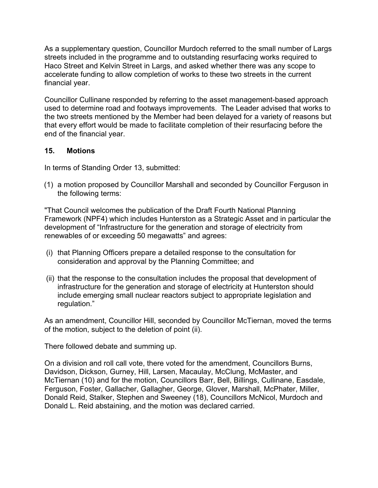As a supplementary question, Councillor Murdoch referred to the small number of Largs streets included in the programme and to outstanding resurfacing works required to Haco Street and Kelvin Street in Largs, and asked whether there was any scope to accelerate funding to allow completion of works to these two streets in the current financial year.

Councillor Cullinane responded by referring to the asset management-based approach used to determine road and footways improvements. The Leader advised that works to the two streets mentioned by the Member had been delayed for a variety of reasons but that every effort would be made to facilitate completion of their resurfacing before the end of the financial year.

### **15. Motions**

In terms of Standing Order 13, submitted:

(1) a motion proposed by Councillor Marshall and seconded by Councillor Ferguson in the following terms:

"That Council welcomes the publication of the Draft Fourth National Planning Framework (NPF4) which includes Hunterston as a Strategic Asset and in particular the development of "Infrastructure for the generation and storage of electricity from renewables of or exceeding 50 megawatts" and agrees:

- (i) that Planning Officers prepare a detailed response to the consultation for consideration and approval by the Planning Committee; and
- (ii) that the response to the consultation includes the proposal that development of infrastructure for the generation and storage of electricity at Hunterston should include emerging small nuclear reactors subject to appropriate legislation and regulation."

As an amendment, Councillor Hill, seconded by Councillor McTiernan, moved the terms of the motion, subject to the deletion of point (ii).

There followed debate and summing up.

On a division and roll call vote, there voted for the amendment, Councillors Burns, Davidson, Dickson, Gurney, Hill, Larsen, Macaulay, McClung, McMaster, and McTiernan (10) and for the motion, Councillors Barr, Bell, Billings, Cullinane, Easdale, Ferguson, Foster, Gallacher, Gallagher, George, Glover, Marshall, McPhater, Miller, Donald Reid, Stalker, Stephen and Sweeney (18), Councillors McNicol, Murdoch and Donald L. Reid abstaining, and the motion was declared carried.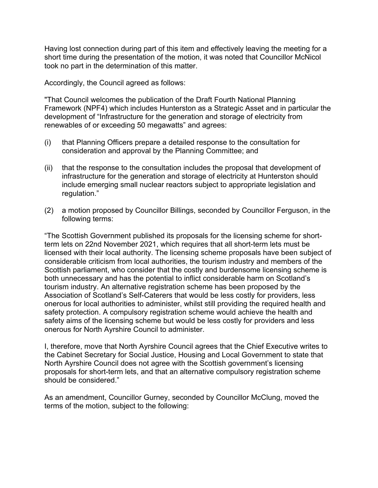Having lost connection during part of this item and effectively leaving the meeting for a short time during the presentation of the motion, it was noted that Councillor McNicol took no part in the determination of this matter.

Accordingly, the Council agreed as follows:

"That Council welcomes the publication of the Draft Fourth National Planning Framework (NPF4) which includes Hunterston as a Strategic Asset and in particular the development of "Infrastructure for the generation and storage of electricity from renewables of or exceeding 50 megawatts" and agrees:

- (i) that Planning Officers prepare a detailed response to the consultation for consideration and approval by the Planning Committee; and
- (ii) that the response to the consultation includes the proposal that development of infrastructure for the generation and storage of electricity at Hunterston should include emerging small nuclear reactors subject to appropriate legislation and regulation."
- (2) a motion proposed by Councillor Billings, seconded by Councillor Ferguson, in the following terms:

"The Scottish Government published its proposals for the licensing scheme for shortterm lets on 22nd November 2021, which requires that all short-term lets must be licensed with their local authority. The licensing scheme proposals have been subject of considerable criticism from local authorities, the tourism industry and members of the Scottish parliament, who consider that the costly and burdensome licensing scheme is both unnecessary and has the potential to inflict considerable harm on Scotland's tourism industry. An alternative registration scheme has been proposed by the Association of Scotland's Self-Caterers that would be less costly for providers, less onerous for local authorities to administer, whilst still providing the required health and safety protection. A compulsory registration scheme would achieve the health and safety aims of the licensing scheme but would be less costly for providers and less onerous for North Ayrshire Council to administer.

I, therefore, move that North Ayrshire Council agrees that the Chief Executive writes to the Cabinet Secretary for Social Justice, Housing and Local Government to state that North Ayrshire Council does not agree with the Scottish government's licensing proposals for short-term lets, and that an alternative compulsory registration scheme should be considered."

As an amendment, Councillor Gurney, seconded by Councillor McClung, moved the terms of the motion, subject to the following: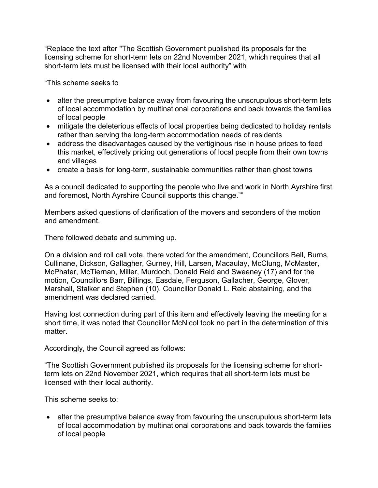"Replace the text after "The Scottish Government published its proposals for the licensing scheme for short-term lets on 22nd November 2021, which requires that all short-term lets must be licensed with their local authority" with

"This scheme seeks to

- alter the presumptive balance away from favouring the unscrupulous short-term lets of local accommodation by multinational corporations and back towards the families of local people
- mitigate the deleterious effects of local properties being dedicated to holiday rentals rather than serving the long-term accommodation needs of residents
- address the disadvantages caused by the vertiginous rise in house prices to feed this market, effectively pricing out generations of local people from their own towns and villages
- create a basis for long-term, sustainable communities rather than ghost towns

As a council dedicated to supporting the people who live and work in North Ayrshire first and foremost, North Ayrshire Council supports this change.""

Members asked questions of clarification of the movers and seconders of the motion and amendment.

There followed debate and summing up.

On a division and roll call vote, there voted for the amendment, Councillors Bell, Burns, Cullinane, Dickson, Gallagher, Gurney, Hill, Larsen, Macaulay, McClung, McMaster, McPhater, McTiernan, Miller, Murdoch, Donald Reid and Sweeney (17) and for the motion, Councillors Barr, Billings, Easdale, Ferguson, Gallacher, George, Glover, Marshall, Stalker and Stephen (10), Councillor Donald L. Reid abstaining, and the amendment was declared carried.

Having lost connection during part of this item and effectively leaving the meeting for a short time, it was noted that Councillor McNicol took no part in the determination of this matter.

Accordingly, the Council agreed as follows:

"The Scottish Government published its proposals for the licensing scheme for shortterm lets on 22nd November 2021, which requires that all short-term lets must be licensed with their local authority.

This scheme seeks to:

• alter the presumptive balance away from favouring the unscrupulous short-term lets of local accommodation by multinational corporations and back towards the families of local people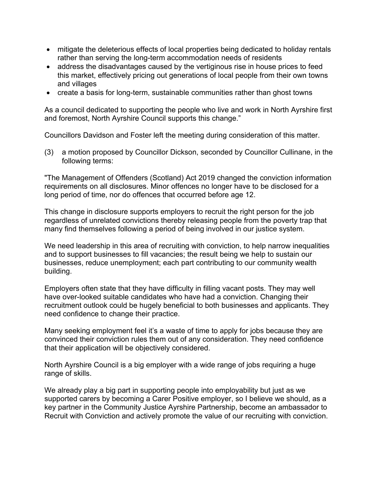- mitigate the deleterious effects of local properties being dedicated to holiday rentals rather than serving the long-term accommodation needs of residents
- address the disadvantages caused by the vertiginous rise in house prices to feed this market, effectively pricing out generations of local people from their own towns and villages
- create a basis for long-term, sustainable communities rather than ghost towns

As a council dedicated to supporting the people who live and work in North Ayrshire first and foremost, North Ayrshire Council supports this change."

Councillors Davidson and Foster left the meeting during consideration of this matter.

(3) a motion proposed by Councillor Dickson, seconded by Councillor Cullinane, in the following terms:

"The Management of Offenders (Scotland) Act 2019 changed the conviction information requirements on all disclosures. Minor offences no longer have to be disclosed for a long period of time, nor do offences that occurred before age 12.

This change in disclosure supports employers to recruit the right person for the job regardless of unrelated convictions thereby releasing people from the poverty trap that many find themselves following a period of being involved in our justice system.

We need leadership in this area of recruiting with conviction, to help narrow inequalities and to support businesses to fill vacancies; the result being we help to sustain our businesses, reduce unemployment; each part contributing to our community wealth building.

Employers often state that they have difficulty in filling vacant posts. They may well have over-looked suitable candidates who have had a conviction. Changing their recruitment outlook could be hugely beneficial to both businesses and applicants. They need confidence to change their practice.

Many seeking employment feel it's a waste of time to apply for jobs because they are convinced their conviction rules them out of any consideration. They need confidence that their application will be objectively considered.

North Ayrshire Council is a big employer with a wide range of jobs requiring a huge range of skills.

We already play a big part in supporting people into employability but just as we supported carers by becoming a Carer Positive employer, so I believe we should, as a key partner in the Community Justice Ayrshire Partnership, become an ambassador to Recruit with Conviction and actively promote the value of our recruiting with conviction.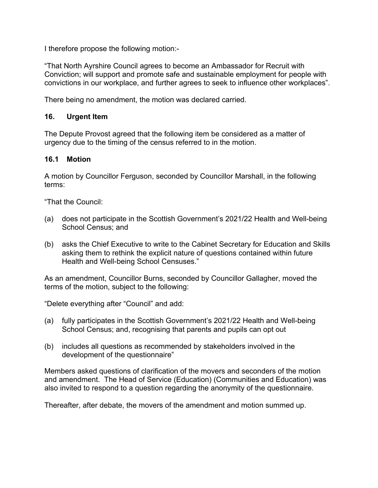I therefore propose the following motion:-

"That North Ayrshire Council agrees to become an Ambassador for Recruit with Conviction; will support and promote safe and sustainable employment for people with convictions in our workplace, and further agrees to seek to influence other workplaces".

There being no amendment, the motion was declared carried.

## **16. Urgent Item**

The Depute Provost agreed that the following item be considered as a matter of urgency due to the timing of the census referred to in the motion.

# **16.1 Motion**

A motion by Councillor Ferguson, seconded by Councillor Marshall, in the following terms:

"That the Council:

- (a) does not participate in the Scottish Government's 2021/22 Health and Well-being School Census; and
- (b) asks the Chief Executive to write to the Cabinet Secretary for Education and Skills asking them to rethink the explicit nature of questions contained within future Health and Well-being School Censuses."

As an amendment, Councillor Burns, seconded by Councillor Gallagher, moved the terms of the motion, subject to the following:

"Delete everything after "Council" and add:

- (a) fully participates in the Scottish Government's 2021/22 Health and Well-being School Census; and, recognising that parents and pupils can opt out
- (b) includes all questions as recommended by stakeholders involved in the development of the questionnaire"

Members asked questions of clarification of the movers and seconders of the motion and amendment. The Head of Service (Education) (Communities and Education) was also invited to respond to a question regarding the anonymity of the questionnaire.

Thereafter, after debate, the movers of the amendment and motion summed up.